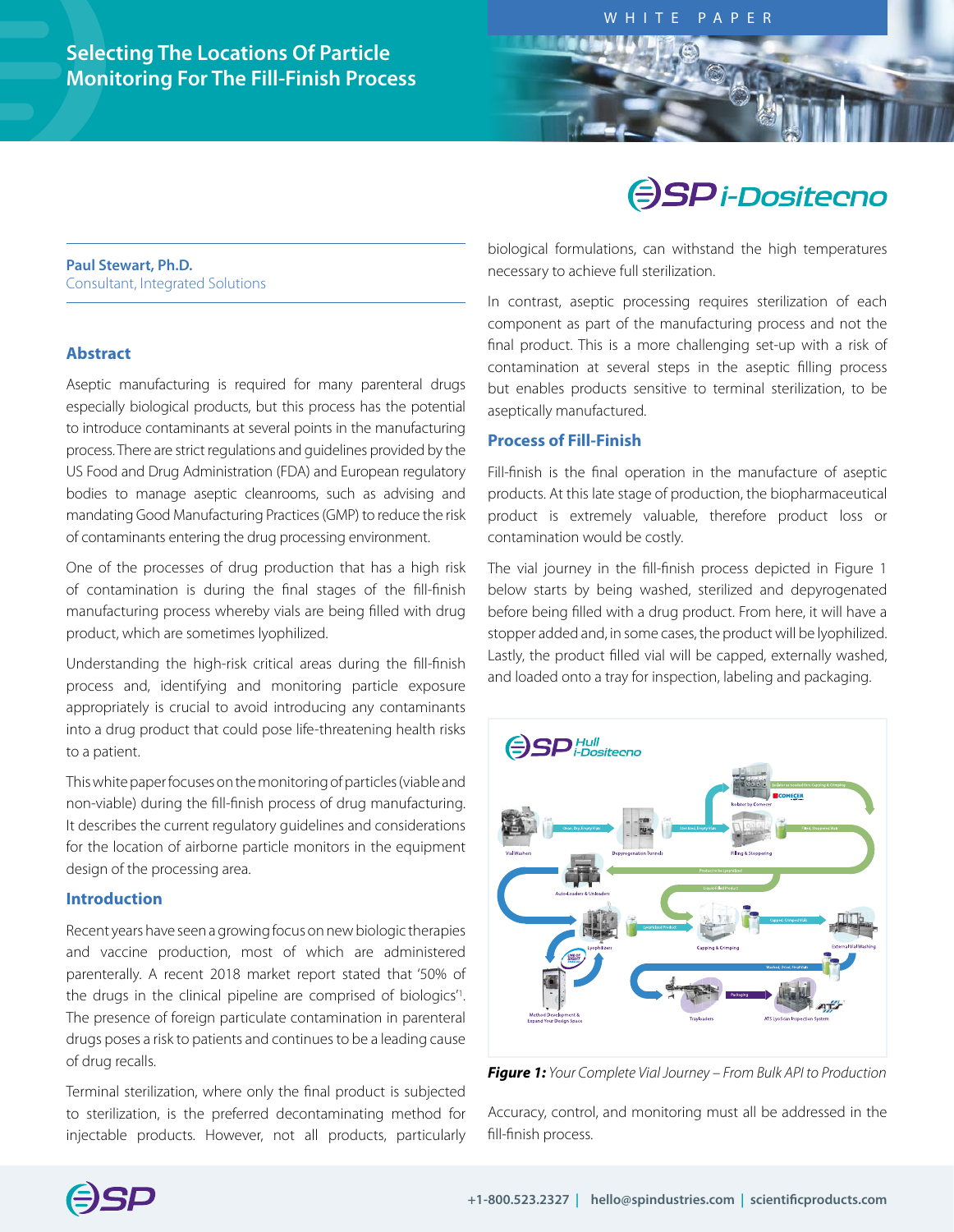# **Selecting The Locations Of Particle Monitoring For The Fill-Finish Process**

# **SP** i-Dositecno

#### **Paul Stewart, Ph.D.**  Consultant, Integrated Solutions

# **Abstract**

Aseptic manufacturing is required for many parenteral drugs especially biological products, but this process has the potential to introduce contaminants at several points in the manufacturing process. There are strict regulations and guidelines provided by the US Food and Drug Administration (FDA) and European regulatory bodies to manage aseptic cleanrooms, such as advising and mandating Good Manufacturing Practices (GMP) to reduce the risk of contaminants entering the drug processing environment.

One of the processes of drug production that has a high risk of contamination is during the final stages of the fill-finish manufacturing process whereby vials are being filled with drug product, which are sometimes lyophilized.

Understanding the high-risk critical areas during the fill-finish process and, identifying and monitoring particle exposure appropriately is crucial to avoid introducing any contaminants into a drug product that could pose life-threatening health risks to a patient.

This white paper focuses on the monitoring of particles (viable and non-viable) during the fill-finish process of drug manufacturing. It describes the current regulatory guidelines and considerations for the location of airborne particle monitors in the equipment design of the processing area.

## **Introduction**

Recent years have seen a growing focus on new biologic therapies and vaccine production, most of which are administered parenterally. A recent 2018 market report stated that '50% of the drugs in the clinical pipeline are comprised of biologics'1 . The presence of foreign particulate contamination in parenteral drugs poses a risk to patients and continues to be a leading cause of drug recalls.

Terminal sterilization, where only the final product is subjected to sterilization, is the preferred decontaminating method for injectable products. However, not all products, particularly biological formulations, can withstand the high temperatures necessary to achieve full sterilization.

In contrast, aseptic processing requires sterilization of each component as part of the manufacturing process and not the final product. This is a more challenging set-up with a risk of contamination at several steps in the aseptic filling process but enables products sensitive to terminal sterilization, to be aseptically manufactured.

# **Process of Fill-Finish**

Fill-finish is the final operation in the manufacture of aseptic products. At this late stage of production, the biopharmaceutical product is extremely valuable, therefore product loss or contamination would be costly.

The vial journey in the fill-finish process depicted in Figure 1 below starts by being washed, sterilized and depyrogenated before being filled with a drug product. From here, it will have a stopper added and, in some cases, the product will be lyophilized. Lastly, the product filled vial will be capped, externally washed, and loaded onto a tray for inspection, labeling and packaging.



*Figure 1: Your Complete Vial Journey – From Bulk API to Production*

Accuracy, control, and monitoring must all be addressed in the fill-finish process.

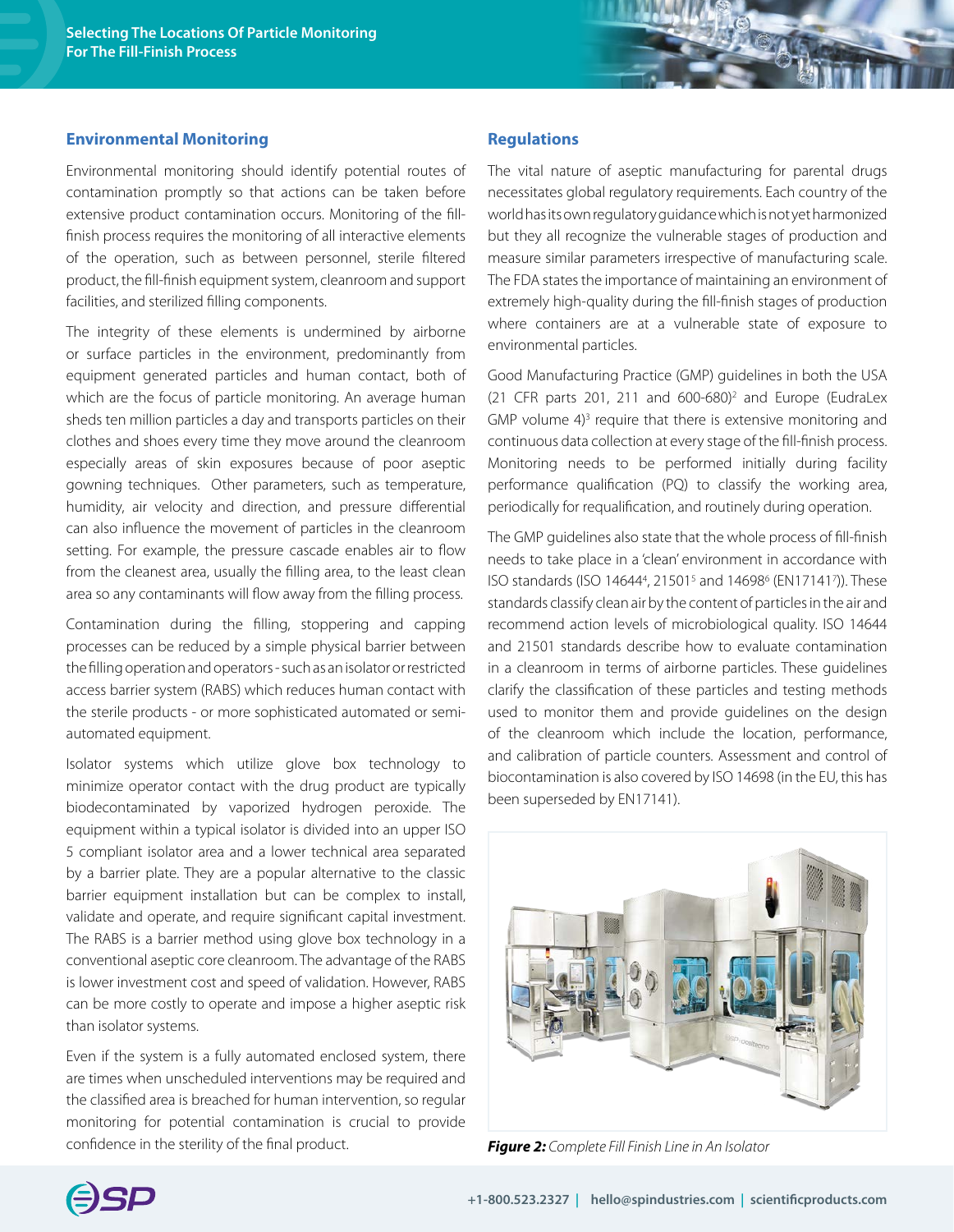#### **Environmental Monitoring**

Environmental monitoring should identify potential routes of contamination promptly so that actions can be taken before extensive product contamination occurs. Monitoring of the fillfinish process requires the monitoring of all interactive elements of the operation, such as between personnel, sterile filtered product, the fill-finish equipment system, cleanroom and support facilities, and sterilized filling components.

The integrity of these elements is undermined by airborne or surface particles in the environment, predominantly from equipment generated particles and human contact, both of which are the focus of particle monitoring. An average human sheds ten million particles a day and transports particles on their clothes and shoes every time they move around the cleanroom especially areas of skin exposures because of poor aseptic gowning techniques. Other parameters, such as temperature, humidity, air velocity and direction, and pressure differential can also influence the movement of particles in the cleanroom setting. For example, the pressure cascade enables air to flow from the cleanest area, usually the filling area, to the least clean area so any contaminants will flow away from the filling process.

Contamination during the filling, stoppering and capping processes can be reduced by a simple physical barrier between the filling operation and operators - such as an isolator or restricted access barrier system (RABS) which reduces human contact with the sterile products - or more sophisticated automated or semiautomated equipment.

Isolator systems which utilize glove box technology to minimize operator contact with the drug product are typically biodecontaminated by vaporized hydrogen peroxide. The equipment within a typical isolator is divided into an upper ISO 5 compliant isolator area and a lower technical area separated by a barrier plate. They are a popular alternative to the classic barrier equipment installation but can be complex to install, validate and operate, and require significant capital investment. The RABS is a barrier method using glove box technology in a conventional aseptic core cleanroom. The advantage of the RABS is lower investment cost and speed of validation. However, RABS can be more costly to operate and impose a higher aseptic risk than isolator systems.

Even if the system is a fully automated enclosed system, there are times when unscheduled interventions may be required and the classified area is breached for human intervention, so regular monitoring for potential contamination is crucial to provide confidence in the sterility of the final product.

#### **Regulations**

The vital nature of aseptic manufacturing for parental drugs necessitates global regulatory requirements. Each country of the world has its own regulatory guidance which is not yet harmonized but they all recognize the vulnerable stages of production and measure similar parameters irrespective of manufacturing scale. The FDA states the importance of maintaining an environment of extremely high-quality during the fill-finish stages of production where containers are at a vulnerable state of exposure to environmental particles.

Good Manufacturing Practice (GMP) guidelines in both the USA (21 CFR parts 201, 211 and 600-680)2 and Europe (EudraLex GMP volume  $4$ <sup>3</sup> require that there is extensive monitoring and continuous data collection at every stage of the fill-finish process. Monitoring needs to be performed initially during facility performance qualification (PQ) to classify the working area, periodically for requalification, and routinely during operation.

The GMP guidelines also state that the whole process of fill-finish needs to take place in a 'clean' environment in accordance with ISO standards (ISO 14644<sup>4</sup>, 21501<sup>5</sup> and 14698<sup>6</sup> (EN171417)). These standards classify clean air by the content of particles in the air and recommend action levels of microbiological quality. ISO 14644 and 21501 standards describe how to evaluate contamination in a cleanroom in terms of airborne particles. These guidelines clarify the classification of these particles and testing methods used to monitor them and provide guidelines on the design of the cleanroom which include the location, performance, and calibration of particle counters. Assessment and control of biocontamination is also covered by ISO 14698 (in the EU, this has been superseded by EN17141).



*Figure 2: Complete Fill Finish Line in An Isolator*

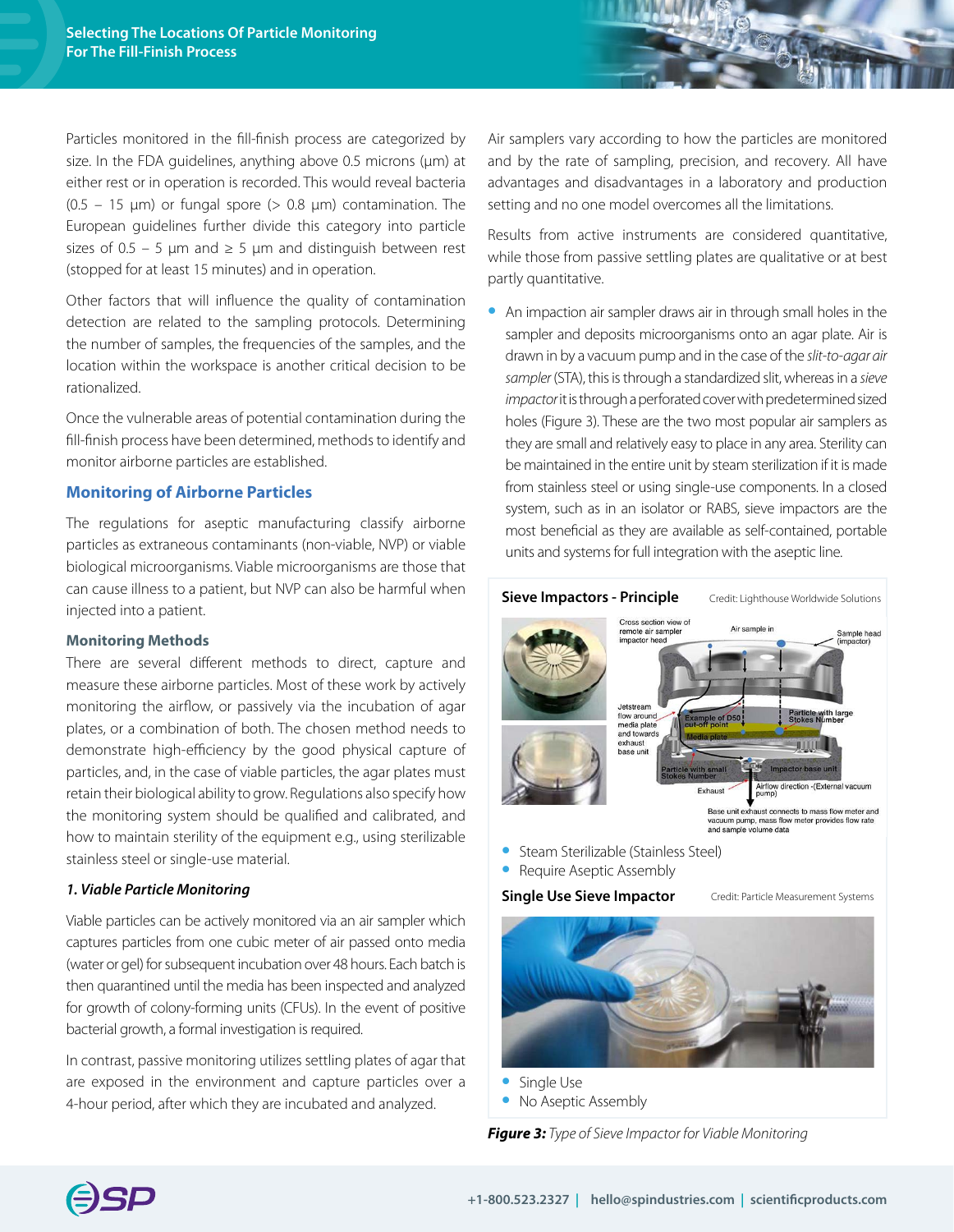Particles monitored in the fill-finish process are categorized by size. In the FDA guidelines, anything above 0.5 microns (µm) at either rest or in operation is recorded. This would reveal bacteria  $(0.5 - 15 \mu m)$  or fungal spore  $(> 0.8 \mu m)$  contamination. The European guidelines further divide this category into particle sizes of 0.5 – 5  $\mu$ m and  $\geq$  5  $\mu$ m and distinguish between rest (stopped for at least 15 minutes) and in operation.

Other factors that will influence the quality of contamination detection are related to the sampling protocols. Determining the number of samples, the frequencies of the samples, and the location within the workspace is another critical decision to be rationalized.

Once the vulnerable areas of potential contamination during the fill-finish process have been determined, methods to identify and monitor airborne particles are established.

#### **Monitoring of Airborne Particles**

The regulations for aseptic manufacturing classify airborne particles as extraneous contaminants (non-viable, NVP) or viable biological microorganisms. Viable microorganisms are those that can cause illness to a patient, but NVP can also be harmful when injected into a patient.

#### **Monitoring Methods**

There are several different methods to direct, capture and measure these airborne particles. Most of these work by actively monitoring the airflow, or passively via the incubation of agar plates, or a combination of both. The chosen method needs to demonstrate high-efficiency by the good physical capture of particles, and, in the case of viable particles, the agar plates must retain their biological ability to grow. Regulations also specify how the monitoring system should be qualified and calibrated, and how to maintain sterility of the equipment e.g., using sterilizable stainless steel or single-use material.

#### *1. Viable Particle Monitoring*

Viable particles can be actively monitored via an air sampler which captures particles from one cubic meter of air passed onto media (water or gel) for subsequent incubation over 48 hours. Each batch is then quarantined until the media has been inspected and analyzed for growth of colony-forming units (CFUs). In the event of positive bacterial growth, a formal investigation is required.

In contrast, passive monitoring utilizes settling plates of agar that are exposed in the environment and capture particles over a 4-hour period, after which they are incubated and analyzed.

Air samplers vary according to how the particles are monitored and by the rate of sampling, precision, and recovery. All have advantages and disadvantages in a laboratory and production setting and no one model overcomes all the limitations.

Results from active instruments are considered quantitative, while those from passive settling plates are qualitative or at best partly quantitative.

**•** An impaction air sampler draws air in through small holes in the sampler and deposits microorganisms onto an agar plate. Air is drawn in by a vacuum pump and in the case of the *slit-to-agar air sampler* (STA), this is through a standardized slit, whereas in a *sieve impactor* it is through a perforated cover with predetermined sized holes (Figure 3). These are the two most popular air samplers as they are small and relatively easy to place in any area. Sterility can be maintained in the entire unit by steam sterilization if it is made from stainless steel or using single-use components. In a closed system, such as in an isolator or RABS, sieve impactors are the most beneficial as they are available as self-contained, portable units and systems for full integration with the aseptic line.



- **•** Steam Sterilizable (Stainless Steel)
- **•** Require Aseptic Assembly

#### **Single Use Sieve Impactor**



Credit: Particle Measurement Systems

**•** Single Use **•** No Aseptic Assembly

*Figure 3: Type of Sieve Impactor for Viable Monitoring*

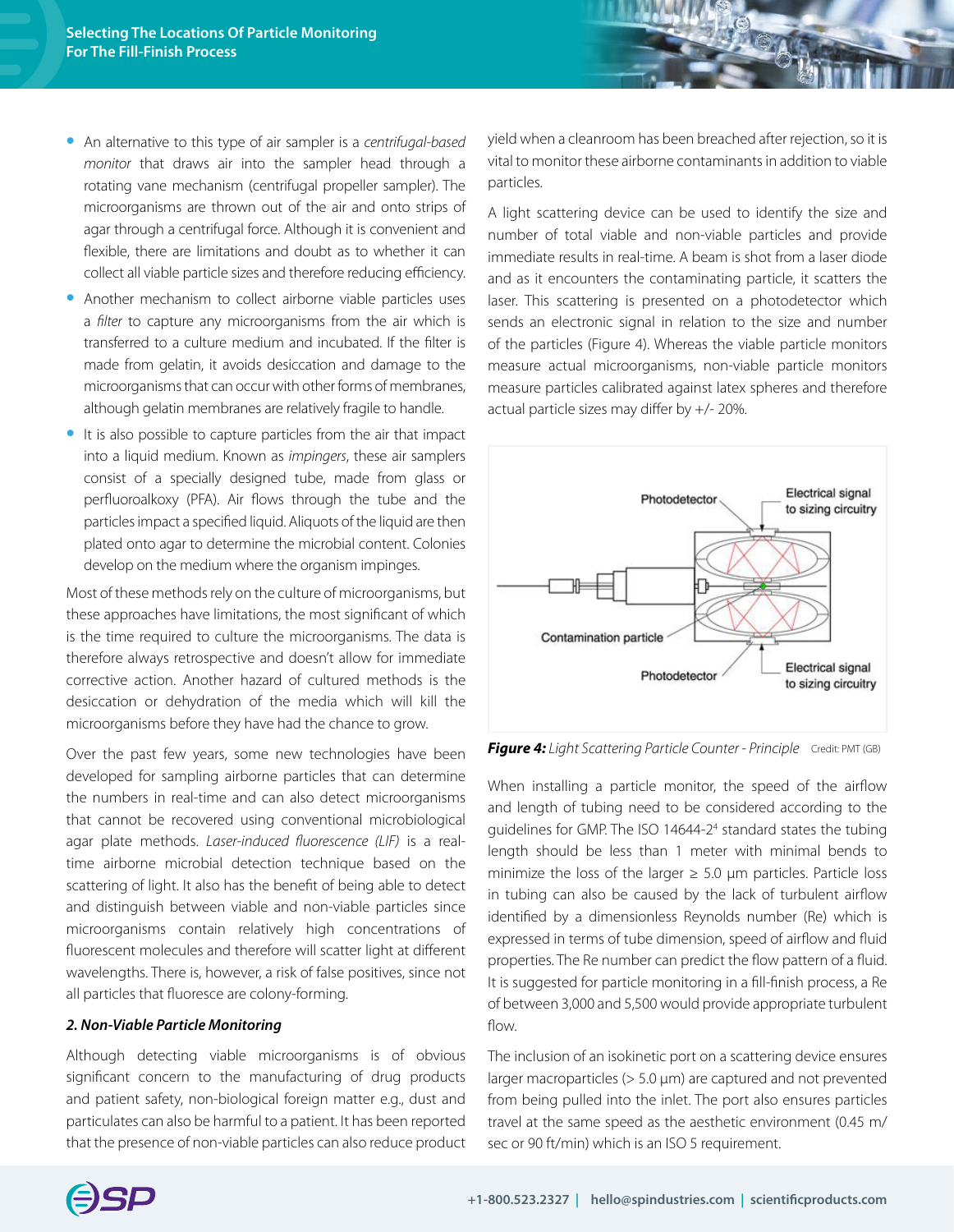- **•** An alternative to this type of air sampler is a *centrifugal-based monitor* that draws air into the sampler head through a rotating vane mechanism (centrifugal propeller sampler). The microorganisms are thrown out of the air and onto strips of agar through a centrifugal force. Although it is convenient and flexible, there are limitations and doubt as to whether it can collect all viable particle sizes and therefore reducing efficiency.
- **•** Another mechanism to collect airborne viable particles uses a *filter* to capture any microorganisms from the air which is transferred to a culture medium and incubated. If the filter is made from gelatin, it avoids desiccation and damage to the microorganisms that can occur with other forms of membranes, although gelatin membranes are relatively fragile to handle.
- **•** It is also possible to capture particles from the air that impact into a liquid medium. Known as *impingers*, these air samplers consist of a specially designed tube, made from glass or perfluoroalkoxy (PFA). Air flows through the tube and the particles impact a specified liquid. Aliquots of the liquid are then plated onto agar to determine the microbial content. Colonies develop on the medium where the organism impinges.

Most of these methods rely on the culture of microorganisms, but these approaches have limitations, the most significant of which is the time required to culture the microorganisms. The data is therefore always retrospective and doesn't allow for immediate corrective action. Another hazard of cultured methods is the desiccation or dehydration of the media which will kill the microorganisms before they have had the chance to grow.

Over the past few years, some new technologies have been developed for sampling airborne particles that can determine the numbers in real-time and can also detect microorganisms that cannot be recovered using conventional microbiological agar plate methods. *Laser-induced fluorescence (LIF)* is a realtime airborne microbial detection technique based on the scattering of light. It also has the benefit of being able to detect and distinguish between viable and non-viable particles since microorganisms contain relatively high concentrations of fluorescent molecules and therefore will scatter light at different wavelengths. There is, however, a risk of false positives, since not all particles that fluoresce are colony-forming.

#### *2. Non-Viable Particle Monitoring*

Although detecting viable microorganisms is of obvious significant concern to the manufacturing of drug products and patient safety, non-biological foreign matter e.g., dust and particulates can also be harmful to a patient. It has been reported that the presence of non-viable particles can also reduce product yield when a cleanroom has been breached after rejection, so it is vital to monitor these airborne contaminants in addition to viable particles.

A light scattering device can be used to identify the size and number of total viable and non-viable particles and provide immediate results in real-time. A beam is shot from a laser diode and as it encounters the contaminating particle, it scatters the laser. This scattering is presented on a photodetector which sends an electronic signal in relation to the size and number of the particles (Figure 4). Whereas the viable particle monitors measure actual microorganisms, non-viable particle monitors measure particles calibrated against latex spheres and therefore actual particle sizes may differ by +/- 20%.



*Figure 4: Light Scattering Particle Counter - Principle* Credit: PMT (GB)

When installing a particle monitor, the speed of the airflow and length of tubing need to be considered according to the guidelines for GMP. The ISO 14644-24 standard states the tubing length should be less than 1 meter with minimal bends to minimize the loss of the larger  $\geq$  5.0 µm particles. Particle loss in tubing can also be caused by the lack of turbulent airflow identified by a dimensionless Reynolds number (Re) which is expressed in terms of tube dimension, speed of airflow and fluid properties. The Re number can predict the flow pattern of a fluid. It is suggested for particle monitoring in a fill-finish process, a Re of between 3,000 and 5,500 would provide appropriate turbulent flow.

The inclusion of an isokinetic port on a scattering device ensures larger macroparticles (> 5.0 µm) are captured and not prevented from being pulled into the inlet. The port also ensures particles travel at the same speed as the aesthetic environment (0.45 m/ sec or 90 ft/min) which is an ISO 5 requirement.

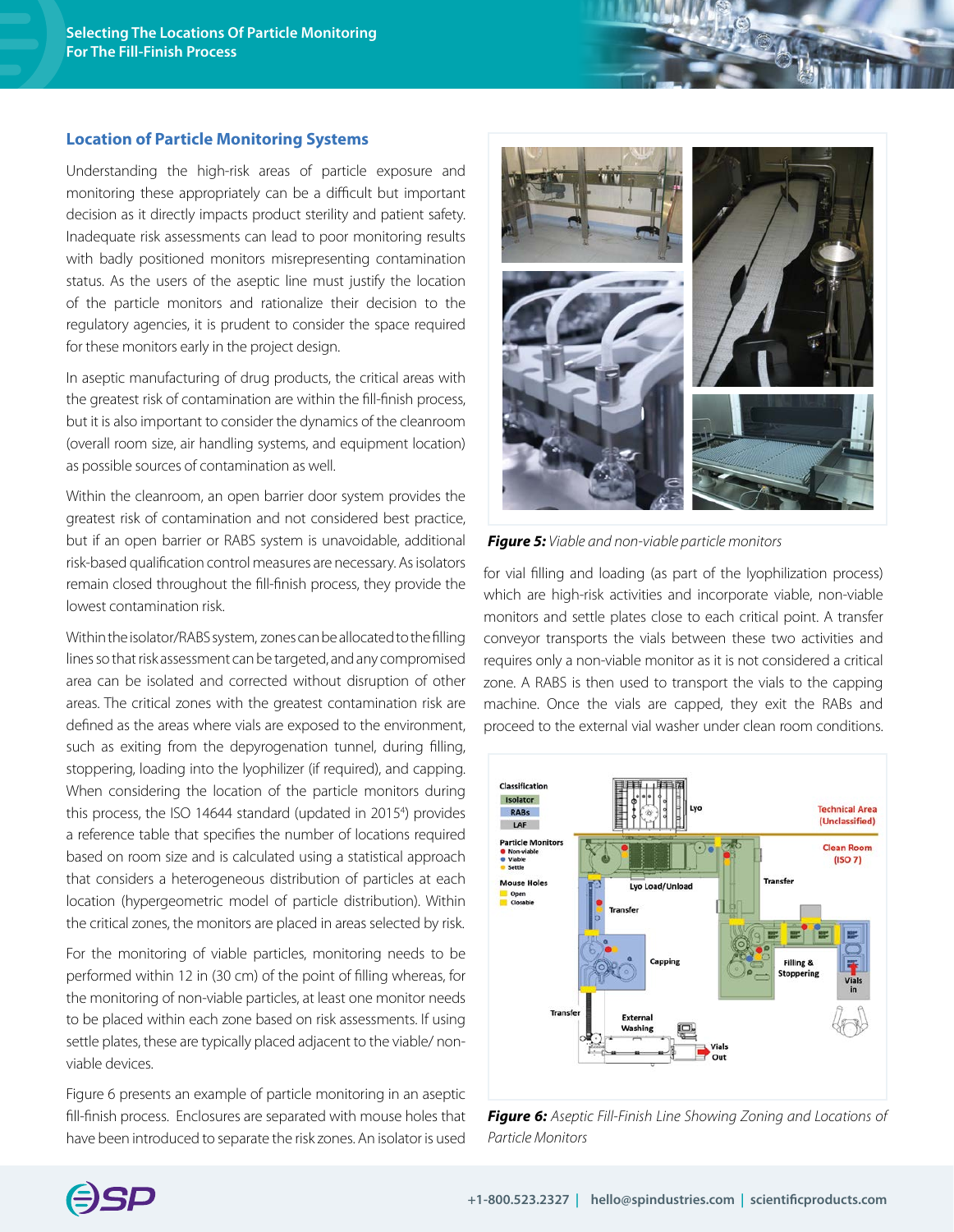#### **Location of Particle Monitoring Systems**

Understanding the high-risk areas of particle exposure and monitoring these appropriately can be a difficult but important decision as it directly impacts product sterility and patient safety. Inadequate risk assessments can lead to poor monitoring results with badly positioned monitors misrepresenting contamination status. As the users of the aseptic line must justify the location of the particle monitors and rationalize their decision to the regulatory agencies, it is prudent to consider the space required for these monitors early in the project design.

In aseptic manufacturing of drug products, the critical areas with the greatest risk of contamination are within the fill-finish process, but it is also important to consider the dynamics of the cleanroom (overall room size, air handling systems, and equipment location) as possible sources of contamination as well.

Within the cleanroom, an open barrier door system provides the greatest risk of contamination and not considered best practice, but if an open barrier or RABS system is unavoidable, additional risk-based qualification control measures are necessary. As isolators remain closed throughout the fill-finish process, they provide the lowest contamination risk.

Within the isolator/RABS system, zones can be allocated to the filling lines so that risk assessment can be targeted, and any compromised area can be isolated and corrected without disruption of other areas. The critical zones with the greatest contamination risk are defined as the areas where vials are exposed to the environment, such as exiting from the depyrogenation tunnel, during filling, stoppering, loading into the lyophilizer (if required), and capping. When considering the location of the particle monitors during this process, the ISO 14644 standard (updated in 20154 ) provides a reference table that specifies the number of locations required based on room size and is calculated using a statistical approach that considers a heterogeneous distribution of particles at each location (hypergeometric model of particle distribution). Within the critical zones, the monitors are placed in areas selected by risk.

For the monitoring of viable particles, monitoring needs to be performed within 12 in (30 cm) of the point of filling whereas, for the monitoring of non-viable particles, at least one monitor needs to be placed within each zone based on risk assessments. If using settle plates, these are typically placed adjacent to the viable/ nonviable devices.

Figure 6 presents an example of particle monitoring in an aseptic fill-finish process. Enclosures are separated with mouse holes that have been introduced to separate the risk zones. An isolator is used



*Figure 5: Viable and non-viable particle monitors*

for vial filling and loading (as part of the lyophilization process) which are high-risk activities and incorporate viable, non-viable monitors and settle plates close to each critical point. A transfer conveyor transports the vials between these two activities and requires only a non-viable monitor as it is not considered a critical zone. A RABS is then used to transport the vials to the capping machine. Once the vials are capped, they exit the RABs and proceed to the external vial washer under clean room conditions.



*Figure 6: Aseptic Fill-Finish Line Showing Zoning and Locations of Particle Monitors*